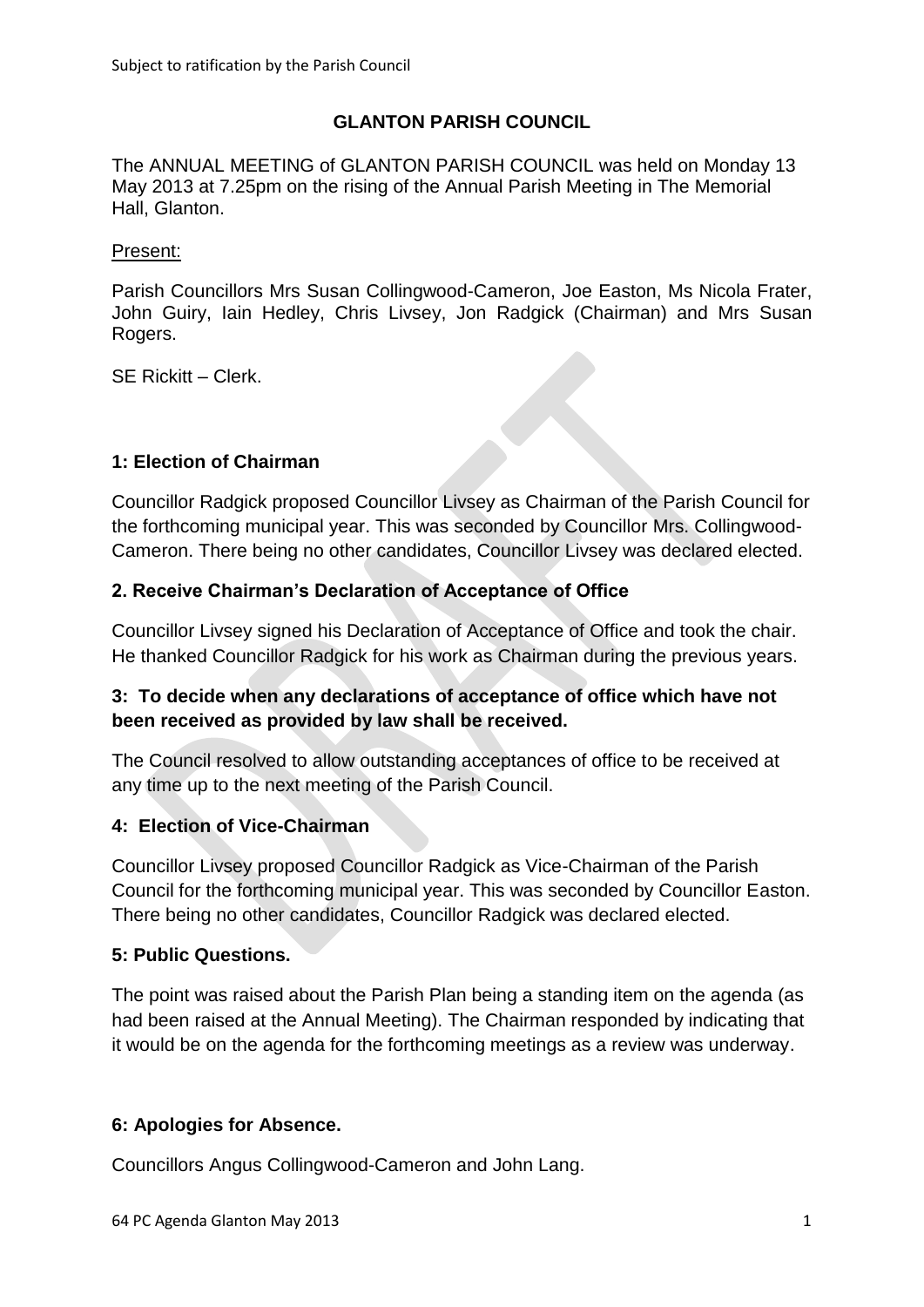# **GLANTON PARISH COUNCIL**

The ANNUAL MEETING of GLANTON PARISH COUNCIL was held on Monday 13 May 2013 at 7.25pm on the rising of the Annual Parish Meeting in The Memorial Hall, Glanton.

### Present:

Parish Councillors Mrs Susan Collingwood-Cameron, Joe Easton, Ms Nicola Frater, John Guiry, Iain Hedley, Chris Livsey, Jon Radgick (Chairman) and Mrs Susan Rogers.

SE Rickitt – Clerk.

# **1: Election of Chairman**

Councillor Radgick proposed Councillor Livsey as Chairman of the Parish Council for the forthcoming municipal year. This was seconded by Councillor Mrs. Collingwood-Cameron. There being no other candidates, Councillor Livsey was declared elected.

# **2. Receive Chairman's Declaration of Acceptance of Office**

Councillor Livsey signed his Declaration of Acceptance of Office and took the chair. He thanked Councillor Radgick for his work as Chairman during the previous years.

# **3: To decide when any declarations of acceptance of office which have not been received as provided by law shall be received.**

The Council resolved to allow outstanding acceptances of office to be received at any time up to the next meeting of the Parish Council.

# **4: Election of Vice-Chairman**

Councillor Livsey proposed Councillor Radgick as Vice-Chairman of the Parish Council for the forthcoming municipal year. This was seconded by Councillor Easton. There being no other candidates, Councillor Radgick was declared elected.

# **5: Public Questions.**

The point was raised about the Parish Plan being a standing item on the agenda (as had been raised at the Annual Meeting). The Chairman responded by indicating that it would be on the agenda for the forthcoming meetings as a review was underway.

# **6: Apologies for Absence.**

Councillors Angus Collingwood-Cameron and John Lang.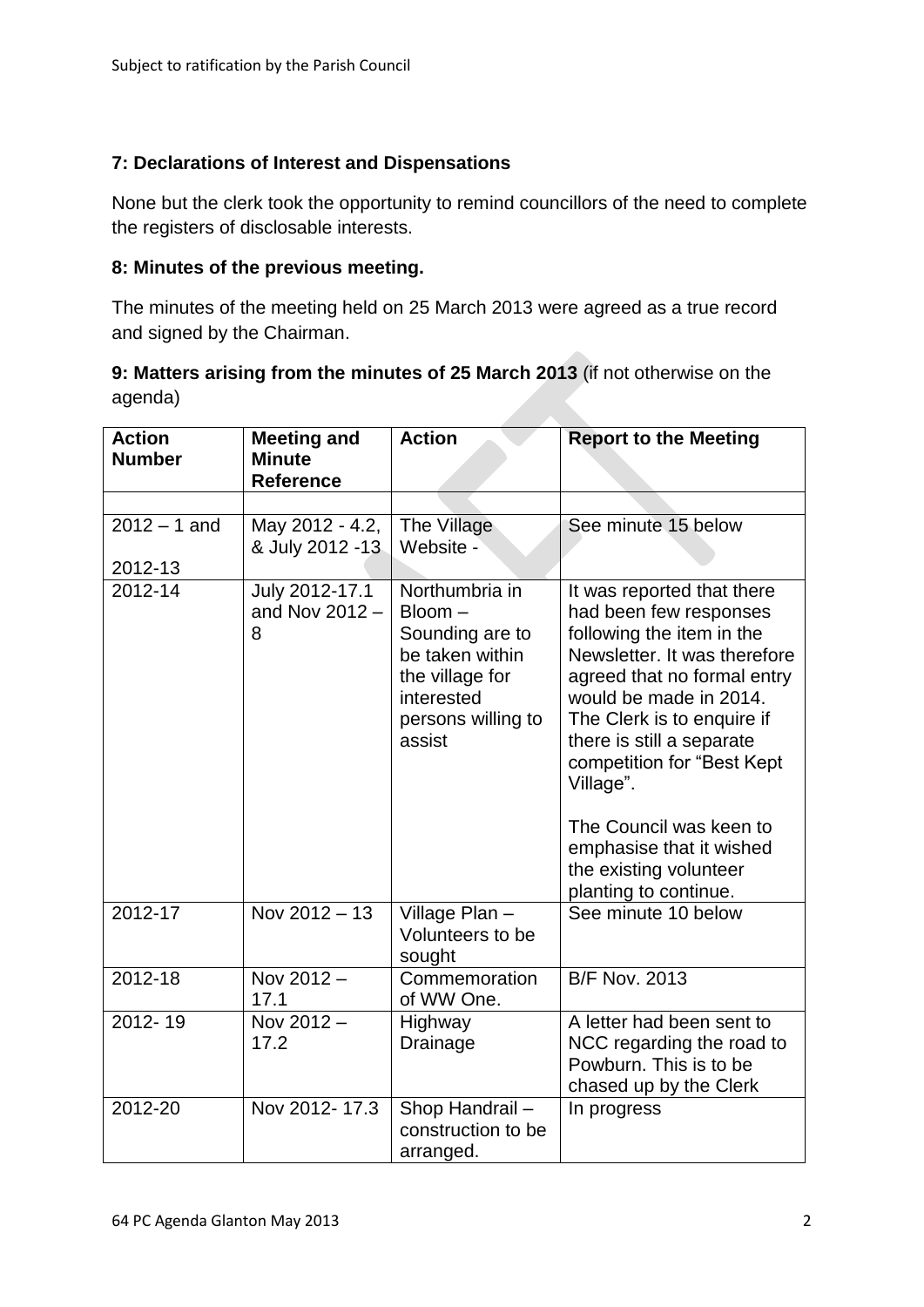# **7: Declarations of Interest and Dispensations**

None but the clerk took the opportunity to remind councillors of the need to complete the registers of disclosable interests.

### **8: Minutes of the previous meeting.**

The minutes of the meeting held on 25 March 2013 were agreed as a true record and signed by the Chairman.

# **9: Matters arising from the minutes of 25 March 2013** (if not otherwise on the agenda)

| <b>Action</b><br><b>Number</b> | <b>Meeting and</b><br><b>Minute</b><br><b>Reference</b> | <b>Action</b>                                                                                                                   | <b>Report to the Meeting</b>                                                                                                                                                                                                                                                                                                                                                               |
|--------------------------------|---------------------------------------------------------|---------------------------------------------------------------------------------------------------------------------------------|--------------------------------------------------------------------------------------------------------------------------------------------------------------------------------------------------------------------------------------------------------------------------------------------------------------------------------------------------------------------------------------------|
|                                |                                                         |                                                                                                                                 |                                                                                                                                                                                                                                                                                                                                                                                            |
| $2012 - 1$ and<br>2012-13      | May 2012 - 4.2,<br>& July 2012 -13                      | The Village<br>Website -                                                                                                        | See minute 15 below                                                                                                                                                                                                                                                                                                                                                                        |
| 2012-14                        | July 2012-17.1<br>and Nov 2012 -<br>8                   | Northumbria in<br>Bloom-<br>Sounding are to<br>be taken within<br>the village for<br>interested<br>persons willing to<br>assist | It was reported that there<br>had been few responses<br>following the item in the<br>Newsletter. It was therefore<br>agreed that no formal entry<br>would be made in 2014.<br>The Clerk is to enquire if<br>there is still a separate<br>competition for "Best Kept<br>Village".<br>The Council was keen to<br>emphasise that it wished<br>the existing volunteer<br>planting to continue. |
| $2012 - 17$                    | Nov 2012 - 13                                           | Village Plan -<br>Volunteers to be<br>sought                                                                                    | See minute 10 below                                                                                                                                                                                                                                                                                                                                                                        |
| 2012-18                        | Nov 2012-<br>17.1                                       | Commemoration<br>of WW One.                                                                                                     | <b>B/F Nov. 2013</b>                                                                                                                                                                                                                                                                                                                                                                       |
| $2012 - 19$                    | Nov 2012-<br>17.2                                       | Highway<br>Drainage                                                                                                             | A letter had been sent to<br>NCC regarding the road to<br>Powburn. This is to be<br>chased up by the Clerk                                                                                                                                                                                                                                                                                 |
| 2012-20                        | Nov 2012-17.3                                           | Shop Handrail-<br>construction to be<br>arranged.                                                                               | In progress                                                                                                                                                                                                                                                                                                                                                                                |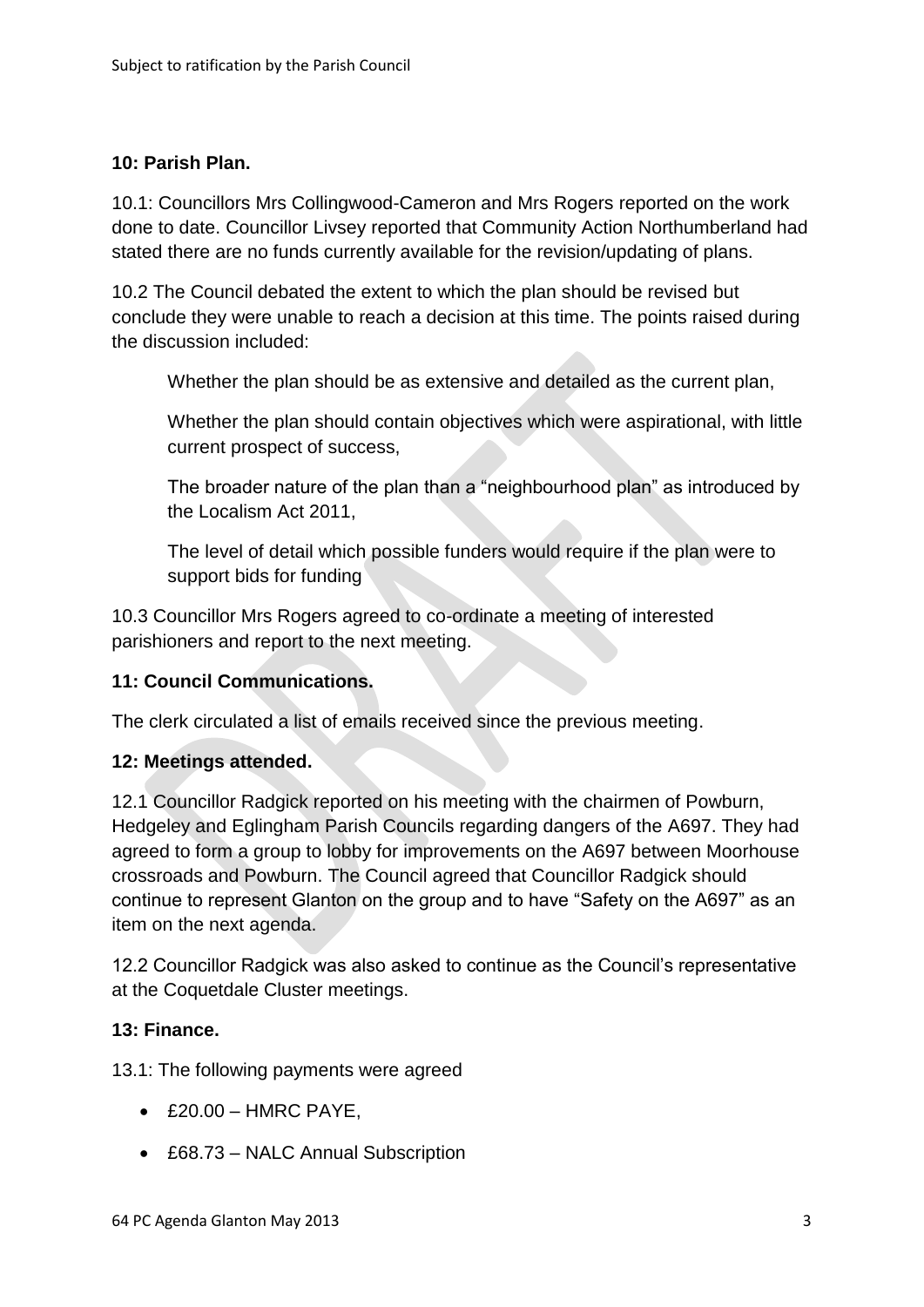### **10: Parish Plan.**

10.1: Councillors Mrs Collingwood-Cameron and Mrs Rogers reported on the work done to date. Councillor Livsey reported that Community Action Northumberland had stated there are no funds currently available for the revision/updating of plans.

10.2 The Council debated the extent to which the plan should be revised but conclude they were unable to reach a decision at this time. The points raised during the discussion included:

Whether the plan should be as extensive and detailed as the current plan,

Whether the plan should contain objectives which were aspirational, with little current prospect of success,

The broader nature of the plan than a "neighbourhood plan" as introduced by the Localism Act 2011,

The level of detail which possible funders would require if the plan were to support bids for funding

10.3 Councillor Mrs Rogers agreed to co-ordinate a meeting of interested parishioners and report to the next meeting.

#### **11: Council Communications.**

The clerk circulated a list of emails received since the previous meeting.

#### **12: Meetings attended.**

12.1 Councillor Radgick reported on his meeting with the chairmen of Powburn, Hedgeley and Eglingham Parish Councils regarding dangers of the A697. They had agreed to form a group to lobby for improvements on the A697 between Moorhouse crossroads and Powburn. The Council agreed that Councillor Radgick should continue to represent Glanton on the group and to have "Safety on the A697" as an item on the next agenda.

12.2 Councillor Radgick was also asked to continue as the Council's representative at the Coquetdale Cluster meetings.

#### **13: Finance.**

13.1: The following payments were agreed

- $\triangle$  £20.00 HMRC PAYE,
- £68.73 NALC Annual Subscription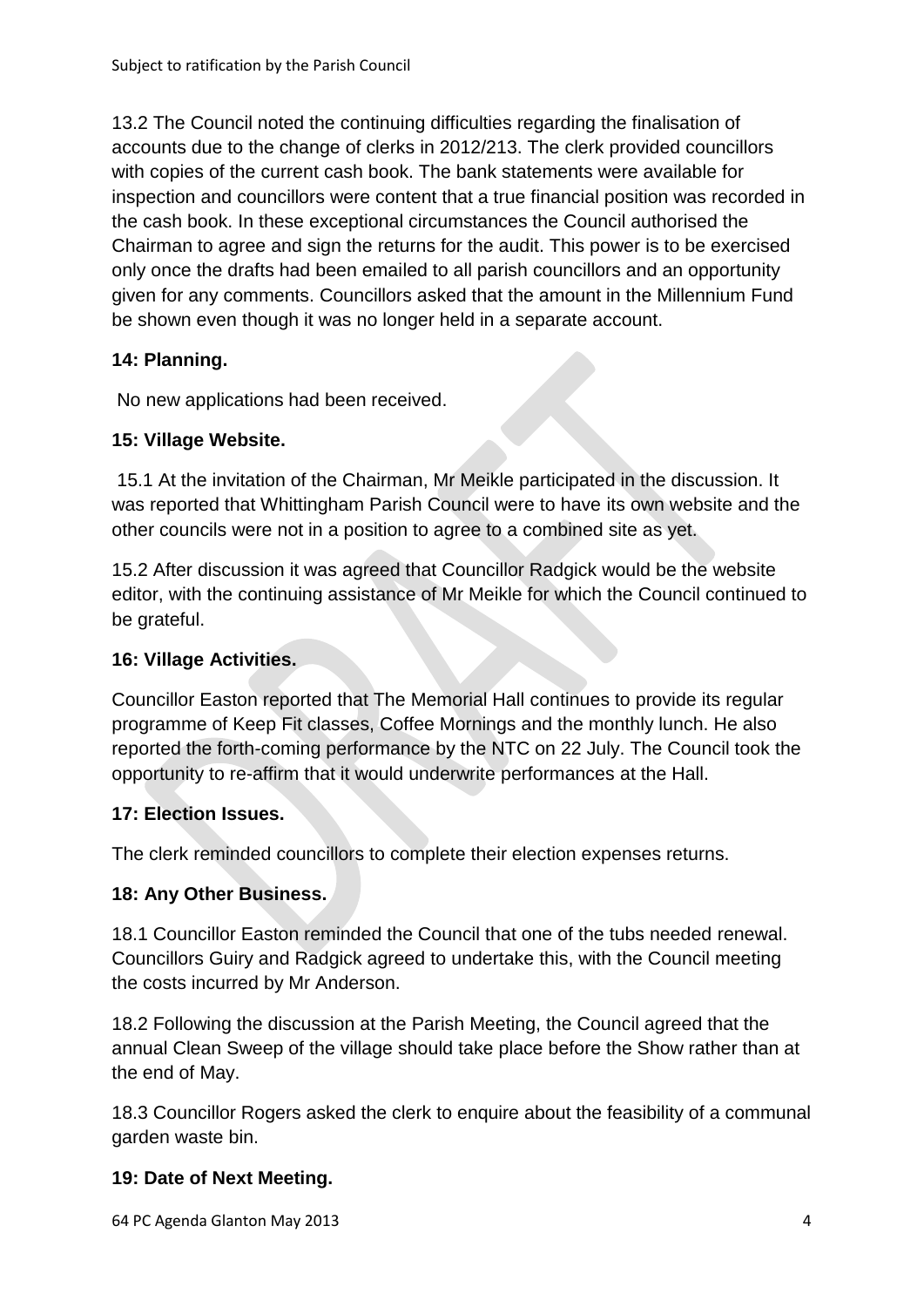13.2 The Council noted the continuing difficulties regarding the finalisation of accounts due to the change of clerks in 2012/213. The clerk provided councillors with copies of the current cash book. The bank statements were available for inspection and councillors were content that a true financial position was recorded in the cash book. In these exceptional circumstances the Council authorised the Chairman to agree and sign the returns for the audit. This power is to be exercised only once the drafts had been emailed to all parish councillors and an opportunity given for any comments. Councillors asked that the amount in the Millennium Fund be shown even though it was no longer held in a separate account.

# **14: Planning.**

No new applications had been received.

# **15: Village Website.**

15.1 At the invitation of the Chairman, Mr Meikle participated in the discussion. It was reported that Whittingham Parish Council were to have its own website and the other councils were not in a position to agree to a combined site as yet.

15.2 After discussion it was agreed that Councillor Radgick would be the website editor, with the continuing assistance of Mr Meikle for which the Council continued to be grateful.

# **16: Village Activities.**

Councillor Easton reported that The Memorial Hall continues to provide its regular programme of Keep Fit classes, Coffee Mornings and the monthly lunch. He also reported the forth-coming performance by the NTC on 22 July. The Council took the opportunity to re-affirm that it would underwrite performances at the Hall.

# **17: Election Issues.**

The clerk reminded councillors to complete their election expenses returns.

# **18: Any Other Business.**

18.1 Councillor Easton reminded the Council that one of the tubs needed renewal. Councillors Guiry and Radgick agreed to undertake this, with the Council meeting the costs incurred by Mr Anderson.

18.2 Following the discussion at the Parish Meeting, the Council agreed that the annual Clean Sweep of the village should take place before the Show rather than at the end of May.

18.3 Councillor Rogers asked the clerk to enquire about the feasibility of a communal garden waste bin.

# **19: Date of Next Meeting.**

64 PC Agenda Glanton May 2013 4